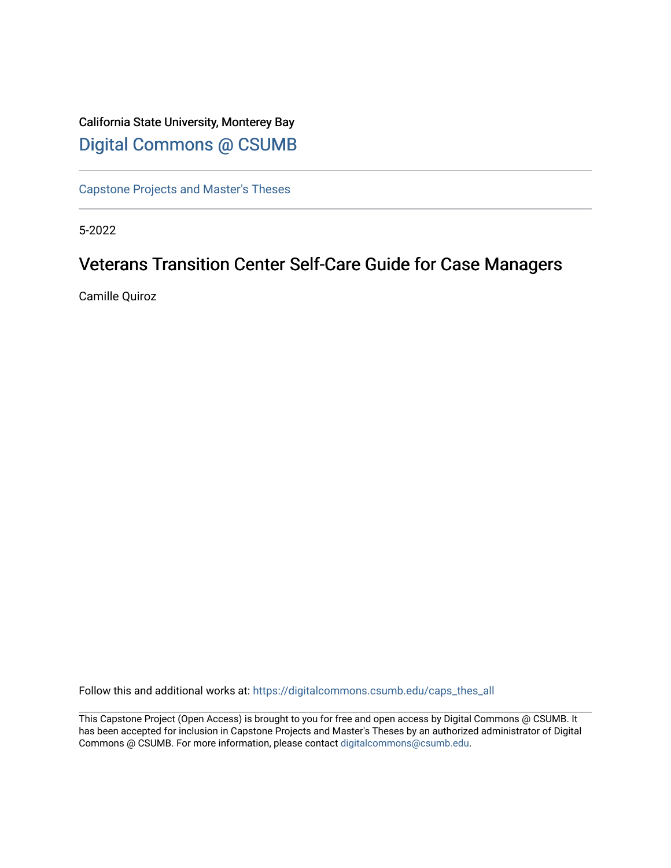# California State University, Monterey Bay [Digital Commons @ CSUMB](https://digitalcommons.csumb.edu/)

[Capstone Projects and Master's Theses](https://digitalcommons.csumb.edu/caps_thes_all)

5-2022

# Veterans Transition Center Self-Care Guide for Case Managers

Camille Quiroz

Follow this and additional works at: [https://digitalcommons.csumb.edu/caps\\_thes\\_all](https://digitalcommons.csumb.edu/caps_thes_all?utm_source=digitalcommons.csumb.edu%2Fcaps_thes_all%2F1246&utm_medium=PDF&utm_campaign=PDFCoverPages)

This Capstone Project (Open Access) is brought to you for free and open access by Digital Commons @ CSUMB. It has been accepted for inclusion in Capstone Projects and Master's Theses by an authorized administrator of Digital Commons @ CSUMB. For more information, please contact [digitalcommons@csumb.edu](mailto:digitalcommons@csumb.edu).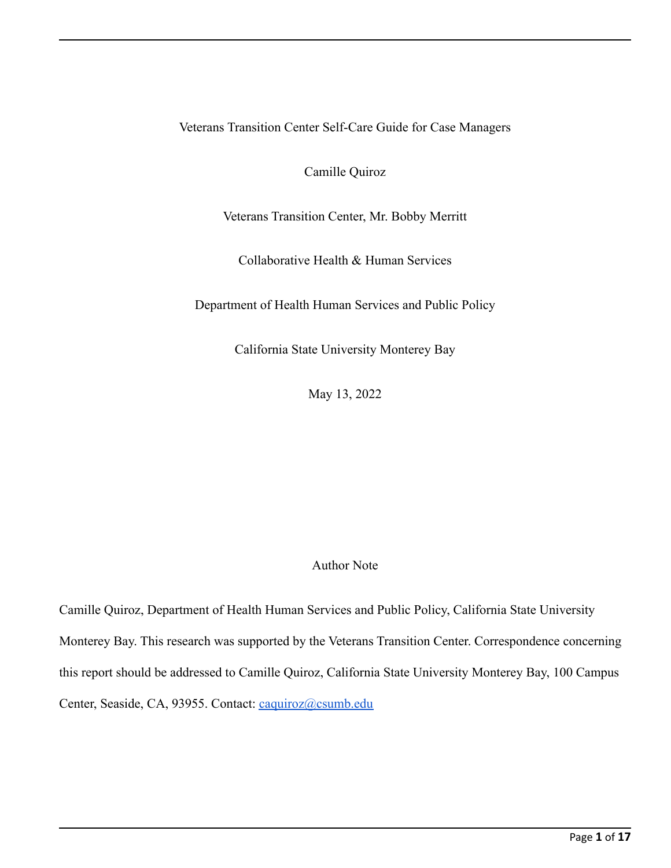Veterans Transition Center Self-Care Guide for Case Managers

Camille Quiroz

Veterans Transition Center, Mr. Bobby Merritt

Collaborative Health & Human Services

Department of Health Human Services and Public Policy

California State University Monterey Bay

May 13, 2022

## Author Note

Camille Quiroz, Department of Health Human Services and Public Policy, California State University Monterey Bay. This research was supported by the Veterans Transition Center. Correspondence concerning this report should be addressed to Camille Quiroz, California State University Monterey Bay, 100 Campus Center, Seaside, CA, 93955. Contact: [caquiroz@csumb.edu](mailto:caquiroz@csumb.edu)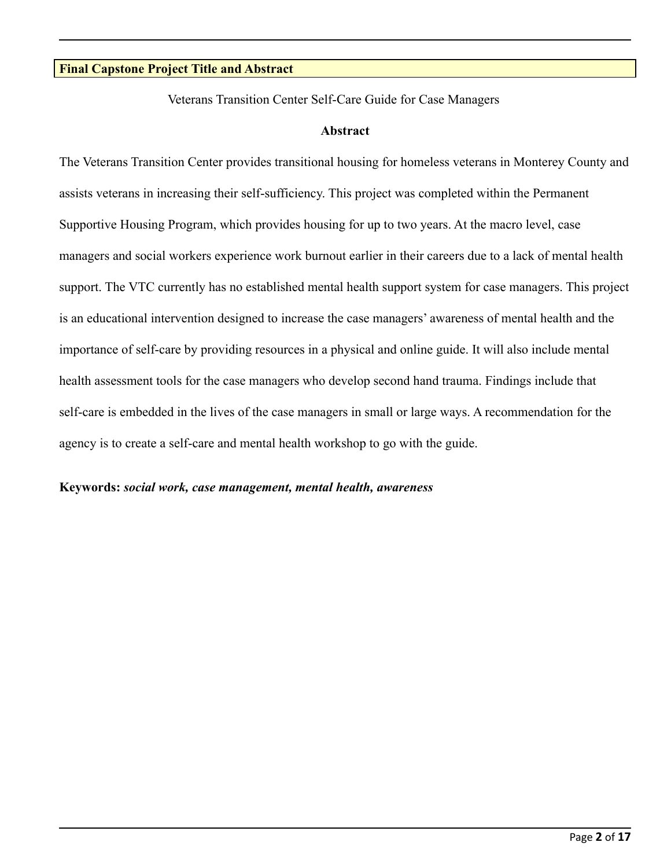## **Final Capstone Project Title and Abstract**

Veterans Transition Center Self-Care Guide for Case Managers

#### **Abstract**

The Veterans Transition Center provides transitional housing for homeless veterans in Monterey County and assists veterans in increasing their self-sufficiency. This project was completed within the Permanent Supportive Housing Program, which provides housing for up to two years. At the macro level, case managers and social workers experience work burnout earlier in their careers due to a lack of mental health support. The VTC currently has no established mental health support system for case managers. This project is an educational intervention designed to increase the case managers' awareness of mental health and the importance of self-care by providing resources in a physical and online guide. It will also include mental health assessment tools for the case managers who develop second hand trauma. Findings include that self-care is embedded in the lives of the case managers in small or large ways. A recommendation for the agency is to create a self-care and mental health workshop to go with the guide.

## **Keywords:** *social work, case management, mental health, awareness*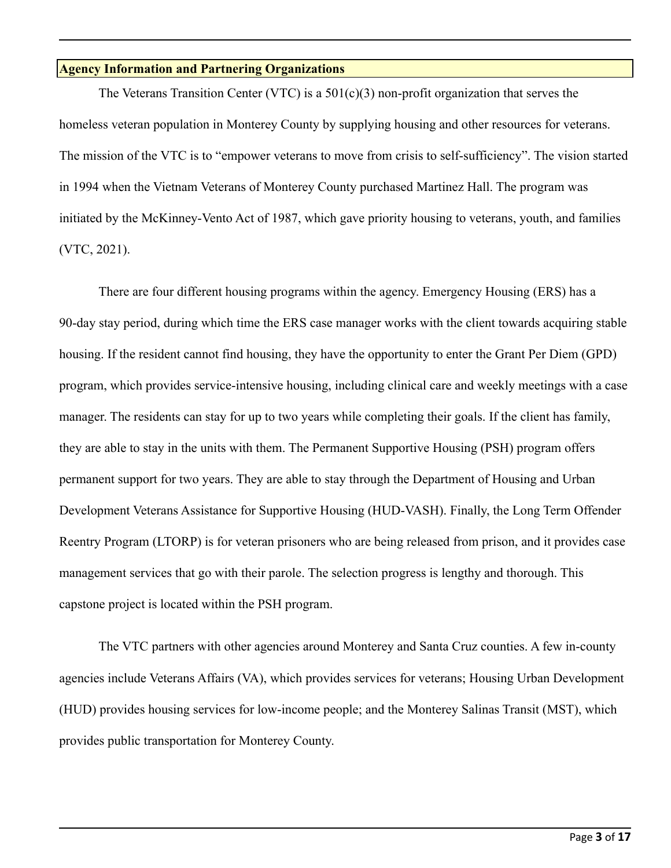## **Agency Information and Partnering Organizations**

The Veterans Transition Center (VTC) is a  $501(c)(3)$  non-profit organization that serves the homeless veteran population in Monterey County by supplying housing and other resources for veterans. The mission of the VTC is to "empower veterans to move from crisis to self-sufficiency". The vision started in 1994 when the Vietnam Veterans of Monterey County purchased Martinez Hall. The program was initiated by the McKinney-Vento Act of 1987, which gave priority housing to veterans, youth, and families (VTC, 2021).

There are four different housing programs within the agency. Emergency Housing (ERS) has a 90-day stay period, during which time the ERS case manager works with the client towards acquiring stable housing. If the resident cannot find housing, they have the opportunity to enter the Grant Per Diem (GPD) program, which provides service-intensive housing, including clinical care and weekly meetings with a case manager. The residents can stay for up to two years while completing their goals. If the client has family, they are able to stay in the units with them. The Permanent Supportive Housing (PSH) program offers permanent support for two years. They are able to stay through the Department of Housing and Urban Development Veterans Assistance for Supportive Housing (HUD-VASH). Finally, the Long Term Offender Reentry Program (LTORP) is for veteran prisoners who are being released from prison, and it provides case management services that go with their parole. The selection progress is lengthy and thorough. This capstone project is located within the PSH program.

The VTC partners with other agencies around Monterey and Santa Cruz counties. A few in-county agencies include Veterans Affairs (VA), which provides services for veterans; Housing Urban Development (HUD) provides housing services for low-income people; and the Monterey Salinas Transit (MST), which provides public transportation for Monterey County.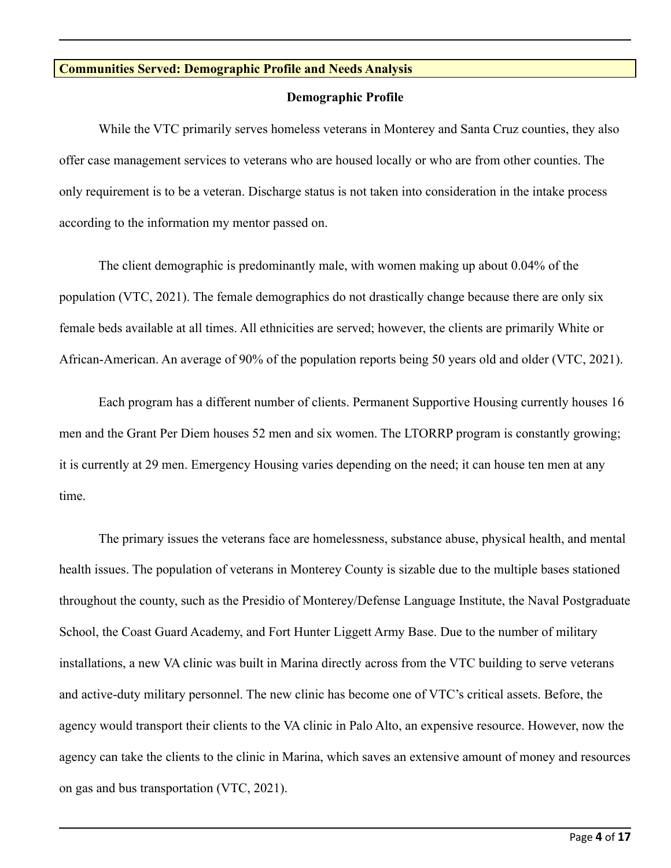## **Communities Served: Demographic Profile and Needs Analysis**

#### **Demographic Profile**

While the VTC primarily serves homeless veterans in Monterey and Santa Cruz counties, they also offer case management services to veterans who are housed locally or who are from other counties. The only requirement is to be a veteran. Discharge status is not taken into consideration in the intake process according to the information my mentor passed on.

The client demographic is predominantly male, with women making up about 0.04% of the population (VTC, 2021). The female demographics do not drastically change because there are only six female beds available at all times. All ethnicities are served; however, the clients are primarily White or African-American. An average of 90% of the population reports being 50 years old and older (VTC, 2021).

Each program has a different number of clients. Permanent Supportive Housing currently houses 16 men and the Grant Per Diem houses 52 men and six women. The LTORRP program is constantly growing; it is currently at 29 men. Emergency Housing varies depending on the need; it can house ten men at any time.

The primary issues the veterans face are homelessness, substance abuse, physical health, and mental health issues. The population of veterans in Monterey County is sizable due to the multiple bases stationed throughout the county, such as the Presidio of Monterey/Defense Language Institute, the Naval Postgraduate School, the Coast Guard Academy, and Fort Hunter Liggett Army Base. Due to the number of military installations, a new VA clinic was built in Marina directly across from the VTC building to serve veterans and active-duty military personnel. The new clinic has become one of VTC's critical assets. Before, the agency would transport their clients to the VA clinic in Palo Alto, an expensive resource. However, now the agency can take the clients to the clinic in Marina, which saves an extensive amount of money and resources on gas and bus transportation (VTC, 2021).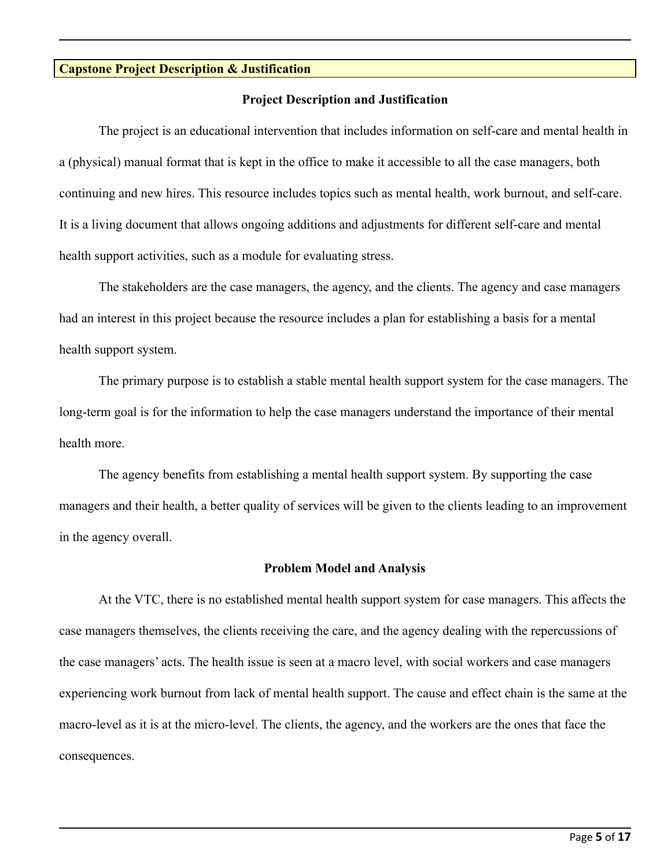## **Capstone Project Description & Justification**

#### **Project Description and Justification**

The project is an educational intervention that includes information on self-care and mental health in a (physical) manual format that is kept in the office to make it accessible to all the case managers, both continuing and new hires. This resource includes topics such as mental health, work burnout, and self-care. It is a living document that allows ongoing additions and adjustments for different self-care and mental health support activities, such as a module for evaluating stress.

The stakeholders are the case managers, the agency, and the clients. The agency and case managers had an interest in this project because the resource includes a plan for establishing a basis for a mental health support system.

The primary purpose is to establish a stable mental health support system for the case managers. The long-term goal is for the information to help the case managers understand the importance of their mental health more.

The agency benefits from establishing a mental health support system. By supporting the case managers and their health, a better quality of services will be given to the clients leading to an improvement in the agency overall.

#### **Problem Model and Analysis**

At the VTC, there is no established mental health support system for case managers. This affects the case managers themselves, the clients receiving the care, and the agency dealing with the repercussions of the case managers' acts. The health issue is seen at a macro level, with social workers and case managers experiencing work burnout from lack of mental health support. The cause and effect chain is the same at the macro-level as it is at the micro-level. The clients, the agency, and the workers are the ones that face the consequences.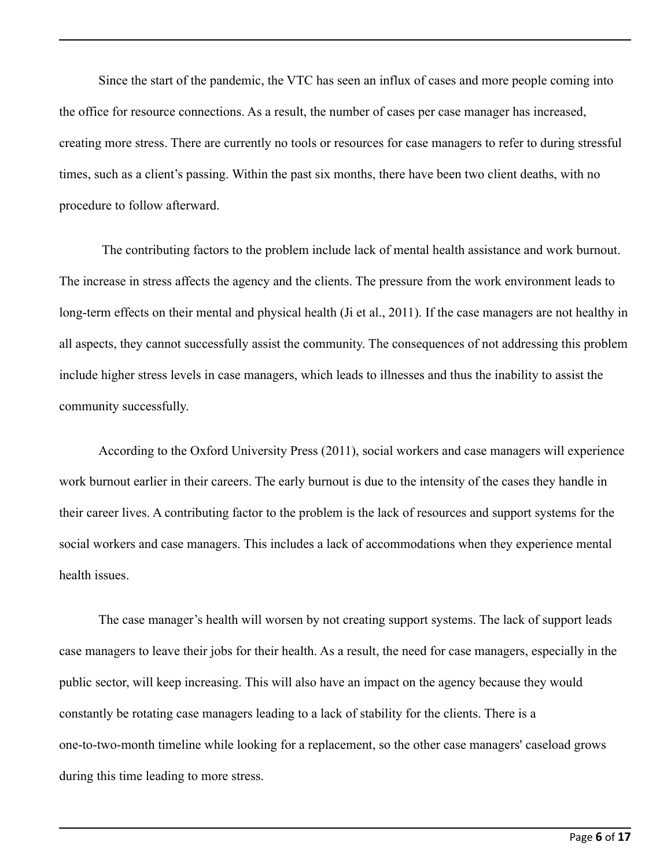Since the start of the pandemic, the VTC has seen an influx of cases and more people coming into the office for resource connections. As a result, the number of cases per case manager has increased, creating more stress. There are currently no tools or resources for case managers to refer to during stressful times, such as a client's passing. Within the past six months, there have been two client deaths, with no procedure to follow afterward.

The contributing factors to the problem include lack of mental health assistance and work burnout. The increase in stress affects the agency and the clients. The pressure from the work environment leads to long-term effects on their mental and physical health (Ji et al., 2011). If the case managers are not healthy in all aspects, they cannot successfully assist the community. The consequences of not addressing this problem include higher stress levels in case managers, which leads to illnesses and thus the inability to assist the community successfully.

According to the Oxford University Press (2011), social workers and case managers will experience work burnout earlier in their careers. The early burnout is due to the intensity of the cases they handle in their career lives. A contributing factor to the problem is the lack of resources and support systems for the social workers and case managers. This includes a lack of accommodations when they experience mental health issues.

The case manager's health will worsen by not creating support systems. The lack of support leads case managers to leave their jobs for their health. As a result, the need for case managers, especially in the public sector, will keep increasing. This will also have an impact on the agency because they would constantly be rotating case managers leading to a lack of stability for the clients. There is a one-to-two-month timeline while looking for a replacement, so the other case managers' caseload grows during this time leading to more stress.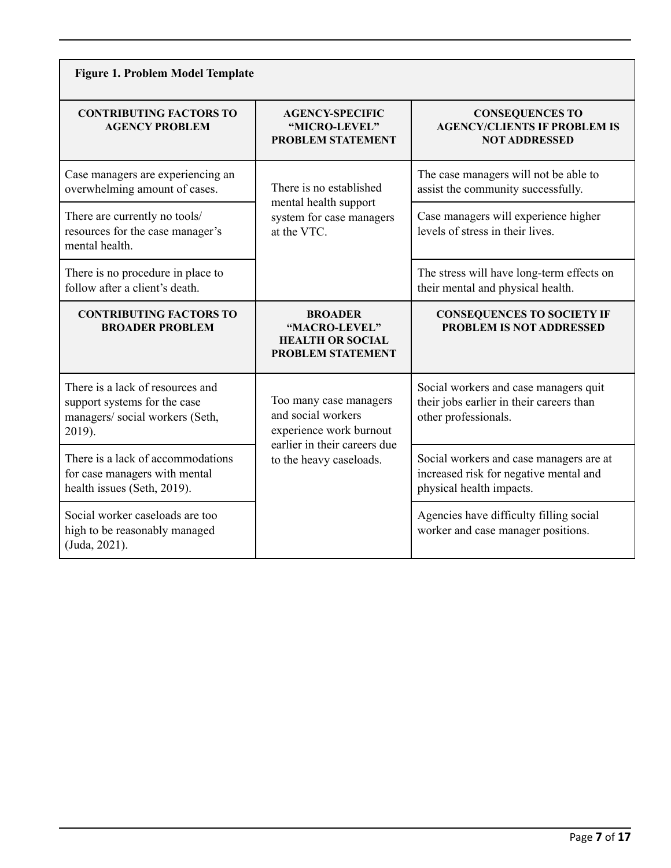| <b>Figure 1. Problem Model Template</b>                                                                       |                                                                                                         |                                                                                                               |  |  |  |  |
|---------------------------------------------------------------------------------------------------------------|---------------------------------------------------------------------------------------------------------|---------------------------------------------------------------------------------------------------------------|--|--|--|--|
| <b>CONTRIBUTING FACTORS TO</b><br><b>AGENCY PROBLEM</b>                                                       | <b>AGENCY-SPECIFIC</b><br>"MICRO-LEVEL"<br><b>PROBLEM STATEMENT</b>                                     | <b>CONSEQUENCES TO</b><br><b>AGENCY/CLIENTS IF PROBLEM IS</b><br><b>NOT ADDRESSED</b>                         |  |  |  |  |
| Case managers are experiencing an<br>overwhelming amount of cases.                                            | There is no established<br>mental health support                                                        | The case managers will not be able to<br>assist the community successfully.                                   |  |  |  |  |
| There are currently no tools/<br>resources for the case manager's<br>mental health.                           | system for case managers<br>at the VTC.                                                                 | Case managers will experience higher<br>levels of stress in their lives.                                      |  |  |  |  |
| There is no procedure in place to<br>follow after a client's death.                                           |                                                                                                         | The stress will have long-term effects on<br>their mental and physical health.                                |  |  |  |  |
| <b>CONTRIBUTING FACTORS TO</b><br><b>BROADER PROBLEM</b>                                                      | <b>BROADER</b><br>"MACRO-LEVEL"<br><b>HEALTH OR SOCIAL</b><br><b>PROBLEM STATEMENT</b>                  | <b>CONSEQUENCES TO SOCIETY IF</b><br>PROBLEM IS NOT ADDRESSED                                                 |  |  |  |  |
| There is a lack of resources and<br>support systems for the case<br>managers/ social workers (Seth,<br>2019). | Too many case managers<br>and social workers<br>experience work burnout<br>earlier in their careers due | Social workers and case managers quit<br>their jobs earlier in their careers than<br>other professionals.     |  |  |  |  |
| There is a lack of accommodations<br>for case managers with mental<br>health issues (Seth, 2019).             | to the heavy caseloads.                                                                                 | Social workers and case managers are at<br>increased risk for negative mental and<br>physical health impacts. |  |  |  |  |
| Social worker caseloads are too<br>high to be reasonably managed<br>(Juda, 2021).                             |                                                                                                         | Agencies have difficulty filling social<br>worker and case manager positions.                                 |  |  |  |  |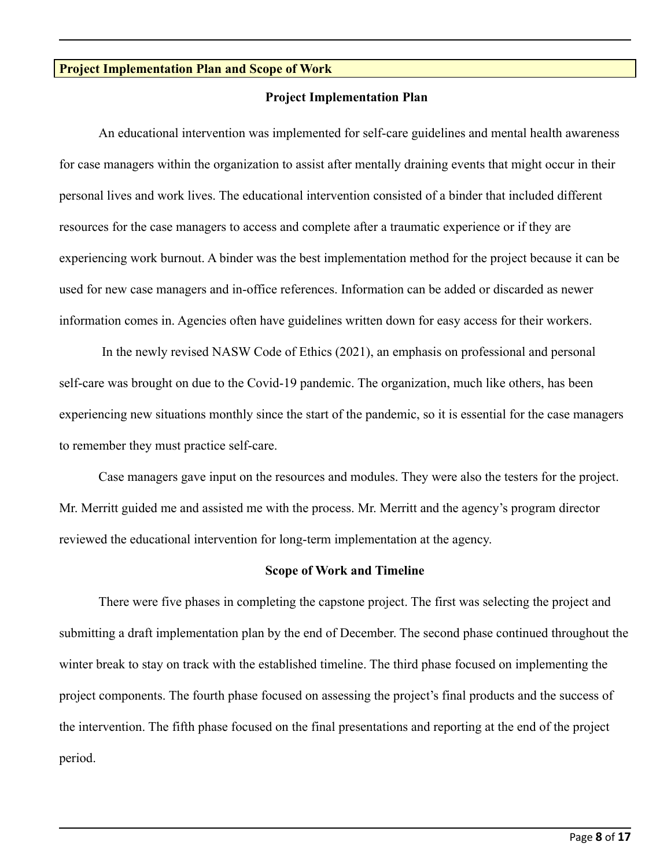#### **Project Implementation Plan and Scope of Work**

#### **Project Implementation Plan**

An educational intervention was implemented for self-care guidelines and mental health awareness for case managers within the organization to assist after mentally draining events that might occur in their personal lives and work lives. The educational intervention consisted of a binder that included different resources for the case managers to access and complete after a traumatic experience or if they are experiencing work burnout. A binder was the best implementation method for the project because it can be used for new case managers and in-office references. Information can be added or discarded as newer information comes in. Agencies often have guidelines written down for easy access for their workers.

In the newly revised NASW Code of Ethics (2021), an emphasis on professional and personal self-care was brought on due to the Covid-19 pandemic. The organization, much like others, has been experiencing new situations monthly since the start of the pandemic, so it is essential for the case managers to remember they must practice self-care.

Case managers gave input on the resources and modules. They were also the testers for the project. Mr. Merritt guided me and assisted me with the process. Mr. Merritt and the agency's program director reviewed the educational intervention for long-term implementation at the agency.

#### **Scope of Work and Timeline**

There were five phases in completing the capstone project. The first was selecting the project and submitting a draft implementation plan by the end of December. The second phase continued throughout the winter break to stay on track with the established timeline. The third phase focused on implementing the project components. The fourth phase focused on assessing the project's final products and the success of the intervention. The fifth phase focused on the final presentations and reporting at the end of the project period.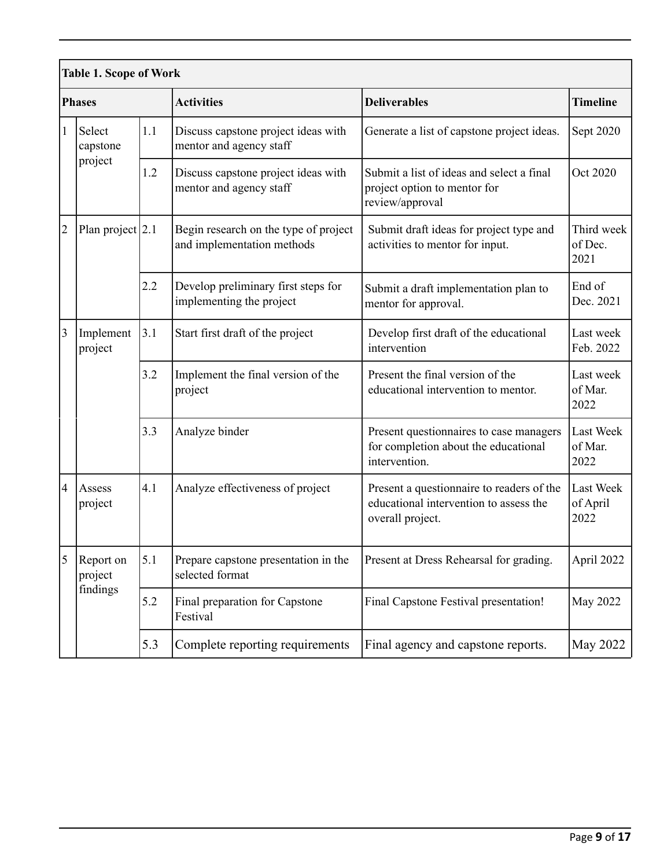| <b>Table 1. Scope of Work</b> |                                  |     |                                                                     |                                                                                                         |                                     |  |  |
|-------------------------------|----------------------------------|-----|---------------------------------------------------------------------|---------------------------------------------------------------------------------------------------------|-------------------------------------|--|--|
| <b>Phases</b>                 |                                  |     | <b>Activities</b>                                                   | <b>Deliverables</b>                                                                                     | <b>Timeline</b>                     |  |  |
| $\vert$ 1                     | Select<br>capstone<br>project    | 1.1 | Discuss capstone project ideas with<br>mentor and agency staff      | Generate a list of capstone project ideas.                                                              | Sept 2020                           |  |  |
|                               |                                  | 1.2 | Discuss capstone project ideas with<br>mentor and agency staff      | Submit a list of ideas and select a final<br>project option to mentor for<br>review/approval            | Oct 2020                            |  |  |
| 2                             | Plan project 2.1                 |     | Begin research on the type of project<br>and implementation methods | Submit draft ideas for project type and<br>activities to mentor for input.                              | Third week<br>of Dec.<br>2021       |  |  |
|                               |                                  | 2.2 | Develop preliminary first steps for<br>implementing the project     | Submit a draft implementation plan to<br>mentor for approval.                                           | End of<br>Dec. 2021                 |  |  |
| $\vert$ 3                     | Implement<br>project             | 3.1 | Start first draft of the project                                    | Develop first draft of the educational<br>intervention                                                  | Last week<br>Feb. 2022              |  |  |
|                               |                                  | 3.2 | Implement the final version of the<br>project                       | Present the final version of the<br>educational intervention to mentor.                                 | Last week<br>of Mar.<br>2022        |  |  |
|                               |                                  | 3.3 | Analyze binder                                                      | Present questionnaires to case managers<br>for completion about the educational<br>intervention.        | <b>Last Week</b><br>of Mar.<br>2022 |  |  |
| 4                             | Assess<br>project                | 4.1 | Analyze effectiveness of project                                    | Present a questionnaire to readers of the<br>educational intervention to assess the<br>overall project. | Last Week<br>of April<br>2022       |  |  |
| 5                             | Report on<br>project<br>findings | 5.1 | Prepare capstone presentation in the<br>selected format             | Present at Dress Rehearsal for grading.                                                                 | April 2022                          |  |  |
|                               |                                  | 5.2 | Final preparation for Capstone<br>Festival                          | Final Capstone Festival presentation!                                                                   | May 2022                            |  |  |
|                               |                                  | 5.3 | Complete reporting requirements                                     | Final agency and capstone reports.                                                                      | <b>May 2022</b>                     |  |  |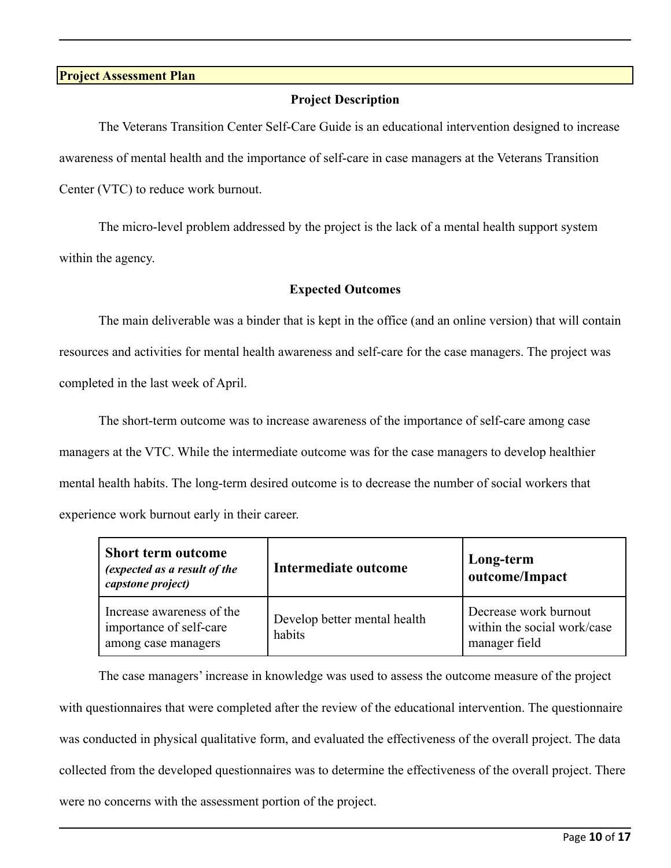#### **Project Assessment Plan**

## **Project Description**

The Veterans Transition Center Self-Care Guide is an educational intervention designed to increase awareness of mental health and the importance of self-care in case managers at the Veterans Transition Center (VTC) to reduce work burnout.

The micro-level problem addressed by the project is the lack of a mental health support system within the agency.

## **Expected Outcomes**

The main deliverable was a binder that is kept in the office (and an online version) that will contain resources and activities for mental health awareness and self-care for the case managers. The project was completed in the last week of April.

The short-term outcome was to increase awareness of the importance of self-care among case managers at the VTC. While the intermediate outcome was for the case managers to develop healthier mental health habits. The long-term desired outcome is to decrease the number of social workers that experience work burnout early in their career.

| <b>Short term outcome</b><br>(expected as a result of the<br>capstone project) | Intermediate outcome                   | Long-term<br>outcome/Impact                                           |
|--------------------------------------------------------------------------------|----------------------------------------|-----------------------------------------------------------------------|
| Increase awareness of the<br>importance of self-care<br>among case managers    | Develop better mental health<br>habits | Decrease work burnout<br>within the social work/case<br>manager field |

The case managers' increase in knowledge was used to assess the outcome measure of the project with questionnaires that were completed after the review of the educational intervention. The questionnaire was conducted in physical qualitative form, and evaluated the effectiveness of the overall project. The data collected from the developed questionnaires was to determine the effectiveness of the overall project. There were no concerns with the assessment portion of the project.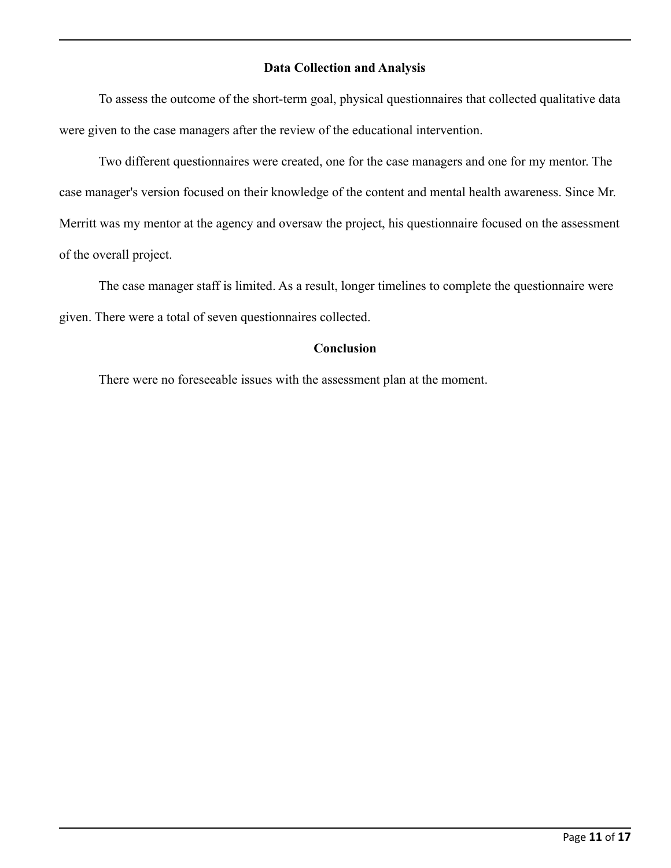## **Data Collection and Analysis**

To assess the outcome of the short-term goal, physical questionnaires that collected qualitative data were given to the case managers after the review of the educational intervention.

Two different questionnaires were created, one for the case managers and one for my mentor. The case manager's version focused on their knowledge of the content and mental health awareness. Since Mr. Merritt was my mentor at the agency and oversaw the project, his questionnaire focused on the assessment of the overall project.

The case manager staff is limited. As a result, longer timelines to complete the questionnaire were given. There were a total of seven questionnaires collected.

## **Conclusion**

There were no foreseeable issues with the assessment plan at the moment.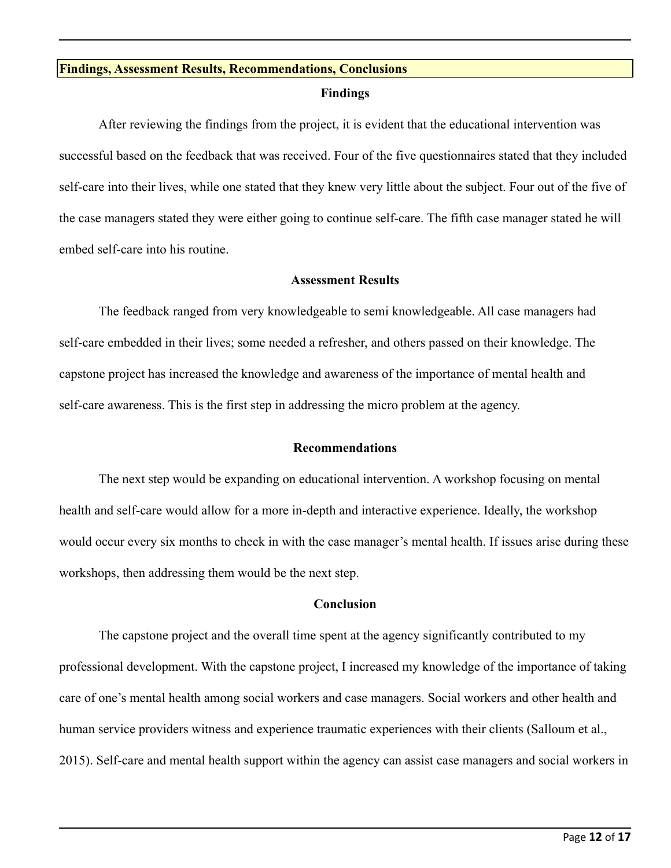#### **Findings, Assessment Results, Recommendations, Conclusions**

#### **Findings**

After reviewing the findings from the project, it is evident that the educational intervention was successful based on the feedback that was received. Four of the five questionnaires stated that they included self-care into their lives, while one stated that they knew very little about the subject. Four out of the five of the case managers stated they were either going to continue self-care. The fifth case manager stated he will embed self-care into his routine.

#### **Assessment Results**

The feedback ranged from very knowledgeable to semi knowledgeable. All case managers had self-care embedded in their lives; some needed a refresher, and others passed on their knowledge. The capstone project has increased the knowledge and awareness of the importance of mental health and self-care awareness. This is the first step in addressing the micro problem at the agency.

#### **Recommendations**

The next step would be expanding on educational intervention. A workshop focusing on mental health and self-care would allow for a more in-depth and interactive experience. Ideally, the workshop would occur every six months to check in with the case manager's mental health. If issues arise during these workshops, then addressing them would be the next step.

## **Conclusion**

The capstone project and the overall time spent at the agency significantly contributed to my professional development. With the capstone project, I increased my knowledge of the importance of taking care of one's mental health among social workers and case managers. Social workers and other health and human service providers witness and experience traumatic experiences with their clients (Salloum et al., 2015). Self-care and mental health support within the agency can assist case managers and social workers in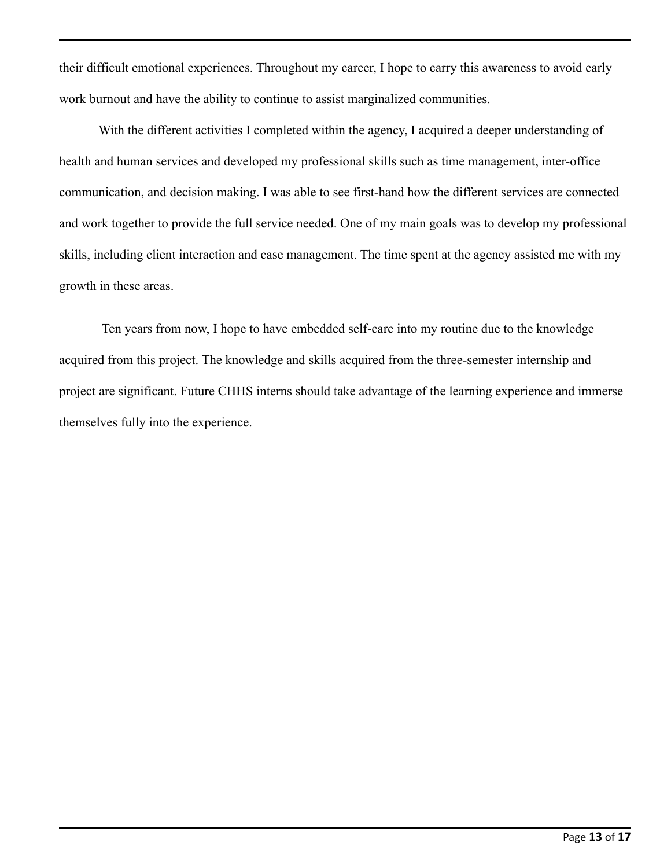their difficult emotional experiences. Throughout my career, I hope to carry this awareness to avoid early work burnout and have the ability to continue to assist marginalized communities.

With the different activities I completed within the agency, I acquired a deeper understanding of health and human services and developed my professional skills such as time management, inter-office communication, and decision making. I was able to see first-hand how the different services are connected and work together to provide the full service needed. One of my main goals was to develop my professional skills, including client interaction and case management. The time spent at the agency assisted me with my growth in these areas.

Ten years from now, I hope to have embedded self-care into my routine due to the knowledge acquired from this project. The knowledge and skills acquired from the three-semester internship and project are significant. Future CHHS interns should take advantage of the learning experience and immerse themselves fully into the experience.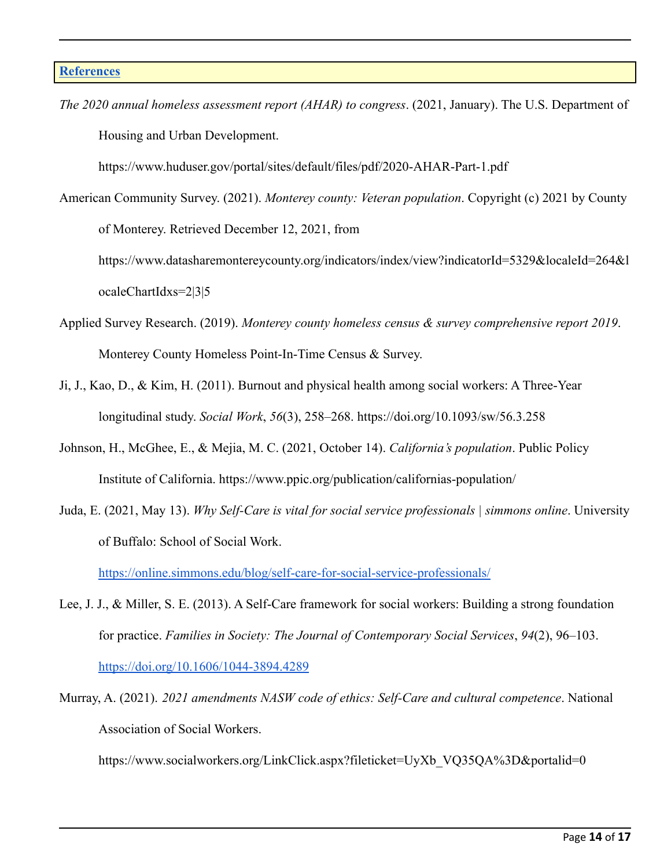*The 2020 annual homeless assessment report (AHAR) to congress*. (2021, January). The U.S. Department of Housing and Urban Development.

https://www.huduser.gov/portal/sites/default/files/pdf/2020-AHAR-Part-1.pdf

American Community Survey. (2021). *Monterey county: Veteran population*. Copyright (c) 2021 by County of Monterey. Retrieved December 12, 2021, from https://www.datasharemontereycounty.org/indicators/index/view?indicatorId=5329&localeId=264&l

ocaleChartIdxs=2|3|5

- Applied Survey Research. (2019). *Monterey county homeless census & survey comprehensive report 2019*. Monterey County Homeless Point-In-Time Census & Survey.
- Ji, J., Kao, D., & Kim, H. (2011). Burnout and physical health among social workers: A Three-Year longitudinal study. *Social Work*, *56*(3), 258–268. https://doi.org/10.1093/sw/56.3.258
- Johnson, H., McGhee, E., & Mejia, M. C. (2021, October 14). *California's population*. Public Policy Institute of California. https://www.ppic.org/publication/californias-population/
- Juda, E. (2021, May 13). *Why Self-Care is vital for social service professionals | simmons online*. University of Buffalo: School of Social Work.

<https://online.simmons.edu/blog/self-care-for-social-service-professionals/>

- Lee, J. J., & Miller, S. E. (2013). A Self-Care framework for social workers: Building a strong foundation for practice. *Families in Society: The Journal of Contemporary Social Services*, *94*(2), 96–103. <https://doi.org/10.1606/1044-3894.4289>
- Murray, A. (2021). *2021 amendments NASW code of ethics: Self-Care and cultural competence*. National Association of Social Workers.

https://www.socialworkers.org/LinkClick.aspx?fileticket=UyXb\_VO35OA%3D&portalid=0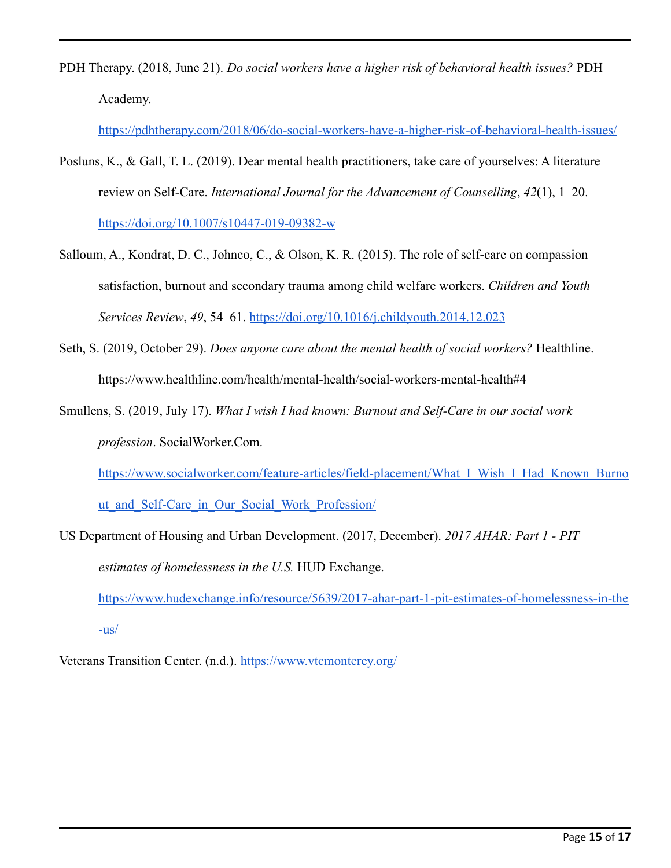PDH Therapy. (2018, June 21). *Do social workers have a higher risk of behavioral health issues?* PDH Academy.

<https://pdhtherapy.com/2018/06/do-social-workers-have-a-higher-risk-of-behavioral-health-issues/>

- Posluns, K., & Gall, T. L. (2019). Dear mental health practitioners, take care of yourselves: A literature review on Self-Care. *International Journal for the Advancement of Counselling*, *42*(1), 1–20. <https://doi.org/10.1007/s10447-019-09382-w>
- Salloum, A., Kondrat, D. C., Johnco, C., & Olson, K. R. (2015). The role of self-care on compassion satisfaction, burnout and secondary trauma among child welfare workers. *Children and Youth Services Review*, *49*, 54–61. <https://doi.org/10.1016/j.childyouth.2014.12.023>
- Seth, S. (2019, October 29). *Does anyone care about the mental health of social workers?* Healthline. https://www.healthline.com/health/mental-health/social-workers-mental-health#4
- Smullens, S. (2019, July 17). *What I wish I had known: Burnout and Self-Care in our social work profession*. SocialWorker.Com.

https://www.socialworker.com/feature-articles/field-placement/What I\_Wish\_I\_Had\_Known\_Burno ut and Self-Care in Our Social Work Profession/

US Department of Housing and Urban Development. (2017, December). *2017 AHAR: Part 1 - PIT estimates of homelessness in the U.S.* HUD Exchange. [https://www.hudexchange.info/resource/5639/2017-ahar-part-1-pit-estimates-of-homelessness-in-the](https://www.hudexchange.info/resource/5639/2017-ahar-part-1-pit-estimates-of-homelessness-in-the-us/)

[-us/](https://www.hudexchange.info/resource/5639/2017-ahar-part-1-pit-estimates-of-homelessness-in-the-us/)

Veterans Transition Center. (n.d.). <https://www.vtcmonterey.org/>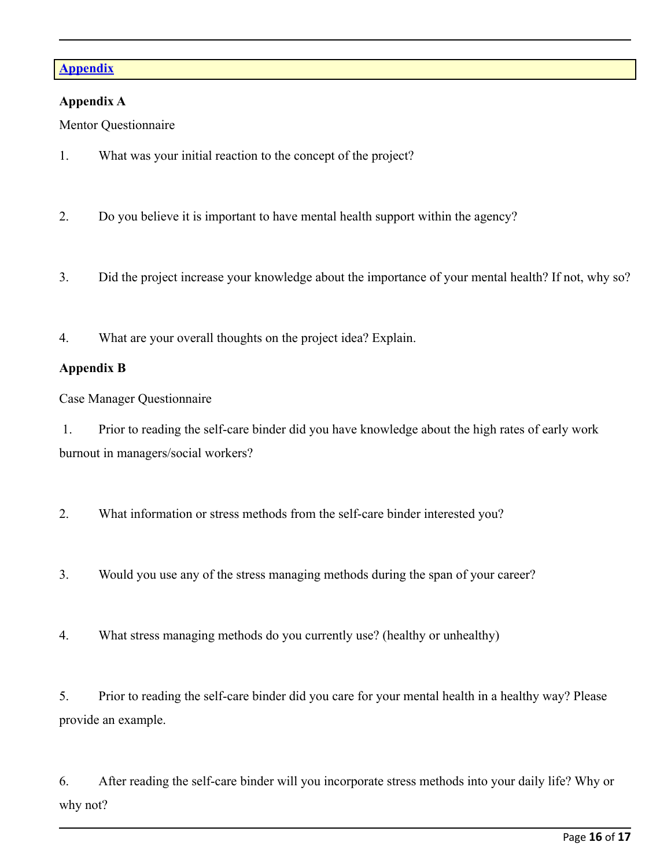## **Appendix**

## **Appendix A**

Mentor Questionnaire

- 1. What was your initial reaction to the concept of the project?
- 2. Do you believe it is important to have mental health support within the agency?
- 3. Did the project increase your knowledge about the importance of your mental health? If not, why so?
- 4. What are your overall thoughts on the project idea? Explain.

## **Appendix B**

Case Manager Questionnaire

1. Prior to reading the self-care binder did you have knowledge about the high rates of early work burnout in managers/social workers?

2. What information or stress methods from the self-care binder interested you?

3. Would you use any of the stress managing methods during the span of your career?

4. What stress managing methods do you currently use? (healthy or unhealthy)

5. Prior to reading the self-care binder did you care for your mental health in a healthy way? Please provide an example.

6. After reading the self-care binder will you incorporate stress methods into your daily life? Why or why not?